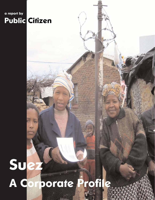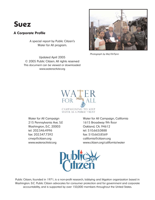# **Suez**

### **A Corporate Profile**

A special report by Public Citizen's Water for All program.

Updated April 2005 © 2005 Public Citizen. All rights reserved This document can be viewed or downloaded www.wateractivist.org



Photograph by Maj Fiil-Flynn



215 Pennsylvania Ave. S.E 1615 Broadway 9th floor Washington, D.C. 20003 Qakland, CA. 94612 tel: 202.546.4996 tel: 510.663.0888 fax: 202.547.7392 fax: 510.663.8569 cmep@citizen.org california@citizen.org

Water for All Campaign Water for All Campaign, California www.wateractivist.org www.citizen.org/california/water



Public Citizen, founded in 1971, is a non-profit research, lobbying and litigation organization based in Washington. D.C. Public Citizen advocates for consumer protection and for government and corporate accountability, and is supported by over 150,000 members throughout the United States.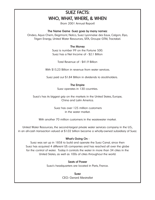## SUEZ FACTS: WHO, WHAT, WHERE, & WHEN

(from 2001 Annual Report)

### The Name Game -Suez goes by many names:

Ondeo, Aqua Chem, Degrmont, Nalco, Suez Lyonnaise des Eaux, Calgon, Elyo, Trigen Energy, United Water Resources, SITA, Groupe GTM, Tractabel.

### The Money

Suez is number 99 on the Fortune 500. Suez has a Net Income of - \$2.1 Billion

Total Revenue of - \$41.9 Billion

With \$15.23 Billion in revenue from water services.

Suez paid out \$1.84 Billion in dividends to stockholders.

### The Empire

Suez operates in 130 countries.

Suez's has its biggest grip on the markets in the United States, Europe, China and Latin America.

> Suez has over 125 million customers in the water market.

With another 70 million customers in the wastewater market.

United Water Resources, the second-largest private water services company in the U.S., in an all-cash transaction valued at \$1.02 billion became a wholly-owned subsidiary of Suez.

### What's Going On -

Suez was set up in 1858 to build and operate the Suez Canal, since then Suez has acquired 4 different US companies and has reached all over the globe for the control of water. Today it controls the water in more than 34 cities in the United States, as well as 100s of cities throughout the world.

### Seats of Power

Suez's headquarters are located in Paris, France.

Suez CEO: Gerard Mestrallet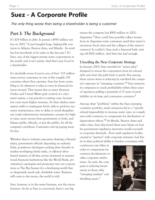# **Suez - A Corporate Profile**

The only thing worse than being a shareholder is being a customer

## *Part I: The Background*

It's \$29 billion in debt. It posted a \$950 million net  $\cos$  in 2002.<sup>1</sup> It just bungled huge, high-profile contracts in Atlanta, Buenos Aires, and Manila. Its stock has lost two-thirds of its value in the last year.<sup>2</sup> It's Suez, one of the biggest private water corporations in the world, and it isn't pretty. And that's just if you're a shareholder.

It's decidedly worse if you're one of Suez' 125 million water service customers in one of the roughly 130 countries where Suez operates. Suez has been scrambling to do whatever it takes to turn its financial fortunes around. That means that as water divisions Ondeo and United Water grab control of a city's water system, a top priority is cutting costs, because low costs mean higher revenues. So Suez slashes water system staffs to inadequate levels, fails to perform necessary maintenance, tries to delay or avoid altogether any costly infrastructure investments, screams for higher rates, more money from government or both, and blames public officials, or just the public, for all the company's problems. Customers end up paying more for less.

Whether they're industry executives drawing a bloated salary, government officials depositing an industry bribe, ponderous ideologues sucking their thumbs in market worshiping think tanks, or silk-tied silverhaired masters of all they survey cloistered in international financial institutions like the World Bank, privatization's apologists and promoters trot out corporations as The Big Answer for a developing world that so desperately needs safe, drinkable water. Business will come to the rescue, the world is told.

Suez, however, is in the water business, not the rescue business. As far as Suez is concerned, there's one big

reason the company lost \$900 million in 2002: Argentina.3 How could Suez possibly collect money from its Argentine water customers amid that nation's enormous fiscal crisis and the collapse of the nation's currency? It couldn't. Suez took a financial bath, writing off \$500 million. And Suez has had enough.

### *Unveiling the New Corporate Strategy*

In January 2003, Suez unveiled its "action plan" designed to rescue the corporation from its colossal debt and chart the path back to profit. Key among those action items is reducing by one-third the company's exposure in "emerging countries."4 Suez instructs its companies to reach profitability within three years of operation pulling a potential of 27 years of profitability on its lease and concession contracts.<sup>5</sup>

Among other "problems" within the Suez emerging countries portfolio, weak currencies led to a "specific refusal/impossibility to increase water rates, in compliance with contracts, to compensate for devaluation of depreciation effects."6 In Manila, Buenos Aires and other cities, Suez discovered there were limits on how far government regulatory structures would succumb to corporate demands. Even weak regulatory bodies created to "partner" with corporate interests, had limits in their political ability to burden consumers with

continuous rate hikes in order to compensate for currency de-valuations or other corporate misfortunes. As such, the company is reducing investments in those risky "emerging markets" and shedding assets.<sup>7</sup>

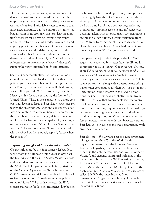The Suez action plan to de-emphasize investment in developing nations flatly contradicts the prevailing corporate/government mantra that the private sector will provide safe and affordable water to nations that most need assistance. On the contrary, the more troubled a region or its economy, the less likely privatization's prospect for delivering anything but empty promises. Instead of making needed investments and applying private sector efficiencies to increase access to water services at affordable rates, Suez openly acknowledges that it can't cut it financially in the developing world, and certainly can't afford to make infrastructure investments in a "market" that can't support the water company's profit expectations.

So, the Suez corporate strategists took a new look around the world and decided to refocus their competitive grab for market share on (1) Europe – especially France, Belgium and to a more limited extent, Eastern Europe, and (2) North America, including Mexico, with a focus on expanding the foothold of United Water. These markets tend to have more complex and developed legal and regulatory structures protecting the environment, labor and consumers, a definite disadvantage from the corporate viewpoint. On the other hand, they house a population of relatively stable middle-class consumers capable of generating a secure revenue stream. Which is to say Suez is applying the Willie Sutton strategy; Sutton, when asked why he robbed banks, famously replied, "that's where the money is."

*Improving the global "investment climate"*

Clearly influenced by the Suez strategy, leaked documents from the European Union (EU) showed that the EU requested the United States, Mexico, Canada and Switzerland to commit their water sectors under the World Trade Organization (WTO) negotiations on the General Agreement on Trade in Services (GATS). After substantial pressure placed by US civil society organizations, US trade negotiators publicly stated in March 2003 that they rejected the EU's request that water "collection, treatment, distribution"

for human use be opened up to foreign competition under highly favorable GATS rules. However, the persistent push from Suez and other corporations, coupled with a trail of closed-door meetings reflecting pronounced corporate access to and influence over decision makers with international trade organizations and financial institutions, suggests assurances from the US trade team may be, at best, changeable, or less charitably, a cynical hoax. US fair trade activists will remain vigilant as WTO negotiations proceed.

Suez played a major role in shaping the EU GATS requests as evidenced by a letter from the EU trade commission to Suez stating: *"One of the main objectives of the EU in the new round of negotiations is to achieve real and meaningful market access for European services providers for their exports of environmental services."8* This statement was sent along with a questionnaire asking major water corporations for their wish-lists on market liberalization. Suez's interest in the GATS negotiations includes (1) proposals to abolish 'restrictive fee setting' – policies that governments may use to protect low-income consumers, (2) concerns about overburdensome licensing requirements and national regulations ensuring high environmental standards and drinking water quality, and (3) restrictions requiring foreign investors to enter with local business partners. Suez had an open door to the trade commission while civil society was shut out.

Suez does not officially take part as a non-governmental organization (NGO) in the World Trade Organization events, but the European Services Forum (ESF) participates on behalf of its two members from the water sector, Suez and Veolia (formerly Vivendi), and exercises substantial influence in the negotiations. In fact, at the WTO meeting in Seattle, ESF was an official member of the EU delegation. Over 50% of the accredited NGOs registered for the September 2003 Cancun Ministerial in Mexico are socalled BINGOs (Business Initiated Non-Governmental Organizations), leaving little doubt that the behind the scenes activities are left out of reach for ordinary citizens.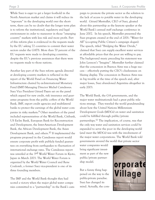While Suez is eager to get a larger foothold in the North American market and claims it will reduce its "exposure" in the developing world over the shortterm, there can be no doubt that the longer term plan is to reform the institutional, regulatory and legal environment in order to maneuver in those "emerging country" markets with less risk and more profit. Part of this reform plan is evidenced in the requests made by the EU asking 72 countries to commit their water sectors under the GATS. More than 70 percent of the EU requests were made to developing countries, despite the EU's previous assurances that there were no requests made to those nations.

Another key part of the Suez reform agenda directed at developing country markets is reflected in the report of the World Panel on Financing Water Infrastructure chaired by ex-International Monetary Fund (IMF) Managing Director Michel Camdessus. Suez Vice President Gérard Payen sat on the panel which argued for new credit, risk insurance and guarantee programs from the public coffers of the World Bank, IMF, export credit agencies and multilateral banks to protect the earnings of the global water companies in risky markets.9 Other members of the panel included representatives of the World Bank, Citibank, US Ex-Im Bank, European Bank for Reconstruction and Development, the Inter-American Development Bank, the African Development Bank, the Asian Development Bank, and others.10 If implemented the programs proposed in the Camdessus report would ensure corporate profit with publicly funded guarantees on everything from earthquakes to fluctuation of international exchange rates. The Camdessus report was unveiled at the 3<sup>rd</sup> World Water Forum in Kyoto, Japan in March 2003. The World Water Forum is organized by the World Water Council and Rene Coulomb, a former Suez vice-president is one of its three founding members.

The IMF and the World Bank thought they had scored a victory when the major global water companies committed to a "partnership" in the Bank's cam-

paign to promote the private sector as the solution to the lack of access to potable water in the developing world. Gèrard Mestrallet, CEO of Suez, gloated about this partnership as the keynote speaker at the World Bank's annual staff exchange conference in June 2002. In his speech, Mestrallet presented the Suez program created at the end of 2001: "Water for All" (co-opting Public Citizen's campaign slogan). The speech, titled "Bridging the Water Divide," claimed that Suez can supply excellent water services at affordable prices that the poor are willing to pay. The background music preceding his statement was John Lennon's "Imagine". Mestrallet further claimed that the concession in Buenos Aires was a huge success – effectively putting the CEO's cluelessness on blazing display. The concession in Buenos Aires was in big trouble at the time of the speech and, after major losses, Suez abandoned Argentina altogether in early 2003.

The World Bank, the G-8 governments, and the major water multinationals had a great public relations strategy. They traveled the world grandstanding about how the United Nations Millennium Development Goals (MDGs) on water and sanitation could be fulfilled through public/private partnerships.<sup>11</sup> The implication, of course, was that the only way water and sanitation services could be expanded to serve the poor in the developing world (and meet the MDGs) was with the involvement of the major water corporations. The World Bank told governments around the world that private sector

water companies would bring significant investment as part of the new public/private partnership model.

But a funny thing happened on the way to the public-private paradise. Suez has changed its mind. Actually, the com-

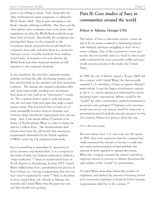pany is not willing to invest. Suez, along with the other multinational water companies, is calling the World Bank's bluff. This is quite damaging to the Bank's already suffering credibility. But, Suez and the other global water companies have some pretty clear suggestions on what the World Bank could do to get them back on board. Specifically, the companies are pinning their hopes on the proposals in the Camdessus report, proposals that would shield the companies from risks and wrap them in a protective financial cocoon of public handouts from multinational banks. It remains to be seen whether the World Bank and other financial institutions will acquiesce to the corporate demands.

In the meantime, the new Suez corporate strategy includes avoiding the risky developing country markets and focusing on the quickest cash flow generating contracts. The strategy also requires unloading debt and, most importantly, avoiding new investment. Suez wants to view itself as an "information" company. The company doesn't want to sink real money into the real nuts, bolts and pipes that make a water system sound. This has forced Suez to back out of some potentially lucrative deals in Germany and Vietnam where investment requirements were just too hefty. And, it has meant selling 75 percent of its shares of Northumbrian Water in order to reduce its debt by 1 billion Euro. The Northumbrian deal releases Suez from the substantial new investment requirements demanded by the British regulator OFWAT under the UK regulatory framework.

Suez is scrambling to streamline its operations to please investors and shareholders. It is a company in the midst of what one industry publication dubbed a "major makeover."<sup>12</sup> Even its much-touted focus on North America is floundering. In June 2003, United Water walked away from a privatization bid process in New Orleans, La., fearing a requirement that any contract must be approved by voters.13 And, as described in more detail below, city officials in Atlanta, Ga., recently told United Water that the party was over and they should start packing.

## *Part II: Case studies of Suez in communities around the world*

### *Defeat in Atlanta, Georgia USA*

The failure of Suez to effectively operate a water system is by no means confined to developing nations with battered currencies struggling to fend off economic collapse. One of the corporation's most spectacular fiascoes recently came to a head in what is generally considered the most successful, stable and structurally sound economy in the world, the United States.

In 1998, the city of Atlanta signed a 20-year, \$428 million contract with United Water, the then-recentlyacquired U. S. subsidiary of Suez, to operate Atlanta's water system. It was the biggest privatization contract in the U. S., and its signing was celebrated by victorydeclaring water corporations. Atlanta would be the "model" for other communities, gushed privatization's promoters and apologists.14 Taxpayers and customers would save money and systems would be improved, as privatization proved itself the win-win situation for the 21st century. Atlanta was going to show the way.

### Or so the story went.

But even before Suez' U.S. arm took over the system in 1999, there were suspicions that the company had vastly overstated the amount of money it could save, and vastly underestimated—at least publicly—the amount of work required to operate the system. When the company assumed the system's operation, suspicion turned to remorse as Atlanta discovered the ugly realities of the "model" for privatization:

•United Water more than halved the number of employees, and slashed the amount of training provided to remaining employees to levels far below training requirements called for in the contract.<sup>15</sup>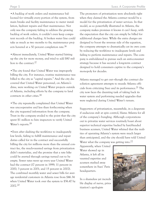•A backlog of work orders and maintenance ballooned for virtually every portion of the system, from main breaks and facility maintenance to meter installation, hydrant repairs and fleet maintenance. Not only was the company failing to address the growing backlog of work orders, it couldn't even keep competent records of the backlog. A broken water line could take as much as two months to fix; maintenance projects hovered at a 50 percent completion rate.<sup>16</sup>

•Almost immediately, United Water started hitting up the city for more money, and tried to add \$80 million to the contract.<sup>17</sup>

•The city found that United Water was improperly billing the city. For instance, routine maintenance was billed to the city as "capital repairs." And the city discovered that United Water personnel, on Atlanta's dime, were working on United Water projects outside of Atlanta, including efforts by the company to land contracts in other cities.18

•The city repeatedly complained that United Water was uncooperative and less than forthcoming when the city requested information from the company. Trust in the company eroded to the point that the city spent \$1 million to hire inspectors to verify United Water's reports.<sup>19</sup>

•Even after slashing the workforce to inadequately low levels, failing to fulfill maintenance and repair duties called for in the contract and successfully billing the city for millions more than the annual contract fee, the much-vaunted savings from privatization didn't materialize, and the promise that a rate hike could be averted through savings turned out to be empty. Sewer rates went up every year United Water had the contract (17 percent in 1999; 11 percent in 2000; 3 percent in 2001; and 15 percent in 2002). The combined monthly water and sewer bills for average residential customers in Atlanta rose from \$46.34 when United Water took over the system to \$56.47 by 2002.20

The promoters of privatization were absolutely right when they claimed the Atlanta contract would be a model for the privatization of water services. In that model, as so powerfully illustrated in Atlanta, the company makes promises it knows it can't keep, with the expectation that the city can simply be billed for additional charges later. While the extra charges are designed to boost the revenue side of the equation, the company attempts to dramatically cut its own costs by reducing the workforce to inadequate levels and failing to perform maintenance and repairs. The company is emboldened to pursue such an anti-consumer strategy because it has secured a long-term contract designed to hold consumers captive to the company's monopoly for decades.

Atlanta managed to get out—though the contract dissolution agreement attempts to muzzle Atlanta officials from criticizing Suez and its performance.<sup>21</sup> The city now faces the daunting task of taking back its water system and performing needed upgrades that were neglected during United Water's tenure.

Supporters of privatization, meanwhile, in a desperate if audacious stab at spin control, blame Atlanta for all of the company's bungling. Although corporations out to privatize water services routinely boast about superior technical expertise backed by hard-headed business acumen, United Water whined that the realities of operating Atlanta's system were much larger than anticipated, and the city should have told United Water what the company was getting into.<sup>22</sup>

Apparently, when United Water showed up in Atlanta, it left all its vaunted expertise and acumen stashed away somewhere in Suez' Paris headquarters.

In a shameless yet incredible display of nerve, privatization's apologists

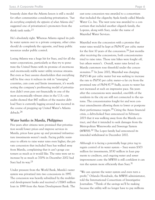brazenly claim that the Atlanta lesson is still a model for other communities considering privatization. *"Just do everything completely the opposite of what Atlanta did,"* suggested one of privatization's promoters from the think tank ranks.<sup>23</sup>

He's absolutely right. Whereas Atlanta signed its public water system over to a private company, other cities should do completely the opposite, and keep public resources under public control.

Losing Atlanta was a huge hit for Suez, and for all the water corporations, particularly as they try to penetrate the United States with its promise of enormous and enormously stable water utility revenue streams. But even as Suez assures shareholders that everything will be fine once it reduces its risk in "emerging" countries, cuts costs and limits investment, it's worth noting the company's profiteering model of privatization didn't even pan out financially in one of the most economically vibrant cities in the U.S.—city audits showed that \$47 million of the massive debt load Suez is currently lugging around was incurred in the course of propping up United Water's Atlanta debacle.24

### *Water battles in Manila, Philippines*

Five years after citizens were promised that privatization would lower prices and improve services in Manila, prices have gone up and promised infrastructure investments weren't made. Facing public resistance to efforts to raise water rates even higher, the private concession that included Suez has walked away from Manila, complaining that it can't gouge customers as much as it would like. The rates were set to increase by as much as 700% in December 2002 had Suez had its way.<sup>25</sup>

Under pressure from the World Bank, Manila's water system was privatized into two concessions in 1997. The concession was heavily subsidized by the multilateral development banks and received a US\$45 million loan in 1999 from the Asian Development Bank. The

east zone concession was awarded to a consortium that included the oligarchy Ayala family called Manila Water Co. Inc. The west zone was awarded to a consortium that included another oligarch family, the Lopezes, along with Suez, under the name of Maynilad Water Services.

Maynilad won the concession with a promise that water rates would be kept at PhP4.97 per cubic meter for the first 10 years of the concession.26 Just months after receiving the concessions, both concessionaires tried to raise rates. Those rate hikes were fought off, but others weren't. Overall, water rates levied on Manila customers rose threefold under the concessionaires.27 In June 2002, Maynilad was charging PhP15.46 per cubic meter but was seeking to increase the rate to PhP30 per cubic meter—a far cry from the promised rate of PhP4.97.28 Sadly, access to water has not increased at such an impressive pace. Six years after the concessions were awarded, one-fifth of the residents in the city are still not connected to the systems. The concessionaires fought for and won contract amendments allowing them to lower or postpone their performance targets.29 Citing the Asian financial crisis, a debt-choked Suez announced in February 2003 that it was walking away from the Manila contract, and that it intended to seek damages from the Metropolitan Waterworks and Sewerage System (MWSS).30 The Lopez family had announced its intended withdrawal in December 2002.

Although it is facing a potentially huge price tag to regain control of its water system – Suez wants \$303 million for investments, \$530 million in loan payments to creditors, and ongoing water and sewer improvement costs- the MWSS is still confident it can run the system more efficiently than Suez.<sup>31</sup>

"We can operate the water system and even turn a profit," Orlando Hondrade, the MWSS administrator, told the International Consortium of Investigative Journalists. "Think of the savings we'll be making because the utility will no longer have to pay millions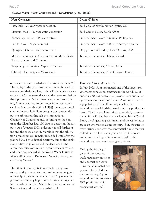| <b>New Contracts</b>                               | Losses & Sales                                   |
|----------------------------------------------------|--------------------------------------------------|
| Pisa, Italy - 20 year water concession             | Sold 75% of Northumbrian Water, UK               |
| Manaus, Brazil – 20 year water concession          | Sold Ondeo Nalco, South Africa                   |
| Kaohsiung, Taiwan - 15-year contract               | Suffered major losses in Manila, Philippines     |
| Puerto Rico - 10 year contract                     | Suffered major losses in Buenos Aires, Argentina |
| Quingdao, China - 25-year contract                 | Dropped out of bidding, New Orleans, USA         |
| Mexico – contracts in Cancun, part of Mexico City, | Terminated contract, Halifax, Canada             |
| Torreon, Leon, and Matamoros                       |                                                  |
| Tangerang, Indonesia – 25-year concession          | Terminated contract, Atlanta, USA                |
| Schwerin, Germany - 49% asset sale                 | Terminated contract, City of Castres, France     |

### *SUEZ: Major Water Contracts and Transactions (2001-2003)*

of pesos in executive salaries and consultancy fees."32 The reality of the poorly-run water system is faced by women and their families, such as Erlinda, who has to wake up at 5 a.m. every day to let the water run before the tap runs dry. When there is no water from the tap, Erlinda is forced to buy water from local water vendors. Her monthly bill is US\$47, an astronomical amount in Manila.<sup>33</sup> Suez brought the contract dispute to arbitration through the International Chamber of Commerce and, according to the contract, the Chamber had 150 days to decide on the dispute. As of August 2003, a decision is still forthcoming and the speculation in Manila is that the arbitration proceeding will remain undecided until after the planned 2004 presidential elections, due to the explosive political implications of the decision. In the meantime, Suez continues to operate the concession and when approached at the World Water Forum in March 2003 Gèrard Payen said: *"Manila, who says we are leaving Manila."*

The attempt to renegotiate contracts, charge customers and governments more and more money, and ultimately cry when the scheme doesn't generate the profits the company hoped for is all standard operating procedure for Suez. Manila is no exception to the Suez track record, but characteristic of it.

### *Buenos Aires, Argentina*

In July 2002, Suez terminated one of the largest private water concession contracts in the world. Suez ended its 30-year contract to provide water and sewerage services to the city of Buenos Aires, which served a population of 10 million people, when the Argentine financial crisis turned company profits into losses. The Buenos Aires privatization deal, consummated in 1993, had been widely lauded by the World Bank, the Argentine government and the water industry as an international success story. But, the success story turned sour after the contractual clause that permitted Suez to link water prices to the U.S. dollar, and ensured hefty profits, was overruled by the Argentine government's emergency decree.

During the first eight years of the contract, weak regulatory practices and contract re-negotiations that eliminated corporate risk enabled the Suez subsidiary, Aguas Argentinas S.A., to earn a 19% profit rate on its average net worth.34

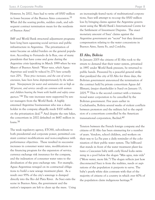However, by 2002, Suez had to write off \$500 million in losses because of the Buenos Aires concession.35 What did the soaring profits, sudden crash, and subsequent contract termination mean for the residents of Buenos Aires?

IMF and World Bank structural adjustment programs have long been squeezing social services and public infrastructure in Argentina. The privatization of water became an added burden on the general population. According to Fernando de la Rua, one of many presidents that have come and gone during the Argentine crisis (speaking in March 1999 when he was Mayor of Buenos Aires): *"Water rates, which Aguas Argentinas said would be reduced by 27% have actually risen 20%. These price increases, and the cost of service extension, have been borne disproportionately by the urban poor. Non-payment for water and sanitation are as high as 30 percent, and service cut-offs are common with women and children bearing the brunt with health and safety consequences."36* The rate increases were supported by senior managers from the World Bank. A highly esteemed Argentine businessman who was a shareholder in the company allegedly made \$100 million on the privatization deal.37 And despite the rate hikes, the consortium in 2002 defaulted on \$687 million in loans.38

The weak regulatory agency, ETOSS, subordinate to both presidential and corporate power, permitted constant contract modifications and non-compliance with performance objectives. These resulted in successive increases in consumer water rates, modifications to the financing program for the expansion of service, currency exchange risk insurance for the company, and the indexation of consumer water rates to the devaluation of the peso exchange rate. For example, Aguas Argentinas reneged on its contractual obligations to build a new sewage treatment plant. As a result over 95% of the city's sewerage is dumped directly into the Rio del Plata River. As Suez exits the scene in Buenos Aires, the government and the nation's taxpayers are left to clean up the mess. Using

an increasingly feared tactic of multinational corporations, Suez will attempt to re-coup the \$500 million loss by bringing claims against the Argentine government using the World Bank's International Centre for the Settlement of Investment Disputes. The exact monetary amount of Suez' claims against the Argentine government are "secret" but they demand compensation relating to the water concessions in Buenos Aires, Santa Fe, and Cordoba.

### *El Alto, Bolivia*

In January 2005 the citizens of El Alto took to the streets to demand that their water system, privatized in 1997 under World Bank pressure, be returned to public hands. Pressured by a peaceful general strike that paralyzed the city of El Alto for three days, the Bolivian government announced the termination of the contract held by private consortium Aguas del Illimani, (major shareholder is Suez) on January 13, 2005.39 This is the second contract with a transnational water corporation to be cancelled by the Bolivian government. Five years earlier in Cochabamba, Bolivia several weeks of violent conflicts between protestors and the military led to the expulsion of a consortium controlled by the American transnational corporation, Bechtel.40

Tension between the French foreign company and the citizens of El Alto has been simmering for a number of years. Vendors, school children, and workers on their way to La Paz pass a daily reminder of the colonization of their public water system. The billboard that stands in front of the water treatment plant features a Caucasian baby with curly blond locks swimming in a pool below the slogan "Más agua, más vida" ("More water, more life.") The slogan reflects just how disconnected Suez is from the realities, needs or aspirations of the population it purports to serve. The baby's pearly white skin contrasts with that of the majority of citizens of a country in which over 60% of the population claim indigenous heritage. $41$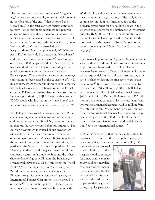The Suez contract is a classic example of "ring fencing," where the contract obligates service delivery only in specific areas of the city. What is termed the "served area" in the Suez contract focuses water service provision on profitable customers and removes obligation from extending service to the newest and most marginal settlements—the areas most in need of improvements. According to the Federación de Juntas Vecinales (FEJUVE, or the Association of Neighbourhood Boards) approximately 200,000 people in El Alto currently live outside the "served area" and this number continues to grow.<sup>42</sup> Suez has not only left 200,000 people outside the "served area," it has also priced the possibility of connecting to the piped water system out of the reach of most of Bolivia's poor. The price of a new water and sewerage connection has been raised to the equivalent of \$445, in a country where the minimum wage is \$60, that is, for the few lucky enough to have a job in the formal economy.43 Due to excessive hikes to the costs of services since privatization, FEJUVE reports that around 70,000 people who live within the "served area" cannot afford to pay for basic services offered by Suez.44

FEJUVE and other social movement groups in Bolivia are demanding the immediate transfer of the water and sanitation system to SAMAPA, the municipal utility that ran the water system before privatization. The Bolivian government is worried about investor lawsuits and the "signal" such a move might send to other foreign investors. As usual, Bolivia is victim to the whims of international financial institutions, in particular, the World Bank. Bolivian president Carlos Mesa argued that should the government cancel the contract on terms unfavorable to Suez and the other shareholders of Aguas de Illimani, the Bolivian government will have to pay US\$17 million to the World Bank.45 After the Water War in Cochabamba, the World Bank became an associate of Aguas del Illimani through its private sector lending arm, the International Finance Corporation, which owns 8% of shares.46 This move has put the Bolivian government in a very vulnerable position, because now the

World Bank has direct interest in guaranteeing the investment and is judge and jury of the likely forthcoming lawsuit. Suez has threatened to sue the Bolivian government for \$90 million dollars in the International Centre for the Settlement of Investment Disputes (ICSID) for lost investments and future profits, similar to the lawsuit pursued by Bechtel for the termination of the Aguas del Tunari´s concession contract following the "Water War" in Cochabamba in 2000.47

The financial operations of Aguas de Illimani are kept secret and citizens do not know how much investment or profits have been made. In an interview with Business News America, General Manager Kuhn, stated that Aguas del Illimani did not distribute any profits to its shareholders in the first seven years of the concession.48 By contrast, Suez reports on its website that it made US\$4 million in profits in Bolivia last year. Aguas del Illimani claims that it has invested \$63.5 million in La Paz and El Alto, at least \$52 million of this money consists of low-interest loans from international financial agencies: US\$15 million from the Inter-American Development Bank; \$15 million from the International Financial Corporation, the private lending arm of the World Bank; \$10 million from the Andean Development Fund; and \$12 million from other international sources.49

FEJUVE is demanding that the new public utility be controlled by citizens, rather than politicians or private companies, national or international. FEJUVE

has developed a proposal in consultation with the neighborhood committees for a new water company that would be controlled by a board of representatives, democratically elected from all the districts in La Paz and El Alto. The hopes are that by guaranteeing popular participa-

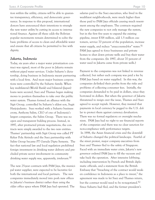tion within the utility, citizens will be able to guarantee transparency, efficiency, and democratic governance. In response to this proposal, international donors have announced their intentions to strangle the new water utility by cutting its access to international finance. Against all these odds the Bolivian popular movements remain determined to solve the basic problems of access to clean and affordable water and ensure that all citizens be permitted to live with dignity.

### *Jakarta, Indonesia*

Today, six years after a major water privatization contract was signed, most of the poor in Jakarta remain without piped water services. Under Suharto's dictatorship, doing business in Indonesia meant partnering with a local firm. And most major business corporations were controlled by the Suharto family. When key multilateral (World Bank) and bilateral (Japan) loans were secured, Suez and Thames began making moves to position themselves to take over the public water system. Thames formed an alliance with the Sigit Group, controlled by Suharto's eldest son, Sugit Harjojudanto. Suez worked with a Suharto business crony, Anthony Salim, CEO of one of Indonesia's largest companies, the Salim Group. There was no open and transparent bidding process. Instead, in 1997, after protracted private negotiations, the contracts were simply awarded to the two new entities. Thames' partnership with Sigit Group was called PT Kekar Pola Airindo and the Suez partnership with Salim Group became PT Garuda Dipta Semesta. The fact that national law and local regulation prohibited foreign investment in drinking water delivery and precluded private sector involvement in community drinking water supply was, apparently, irrelevant.<sup>50</sup>

The new 25-year contracts with PAM Jaya, the municipal water supplier, were expected to be lucrative for both the international and local partners. The new companies immediately moved into posh new offices in Jakarta's business district rather than using the older office space where PAM Jaya had operated. The

salaries paid to the Suez executives, who lived in the wealthiest neighborhoods, were much higher than those paid to PAM Jaya officials causing much resentment among the employees. The contracts required the new companies to not only manage the system, but in the first five years to expand the existing pipeline, invest \$318 million, add 1.5 million customers, service 70 percent of the population, increase water supply, and reduce "unaccounted-for" water.<sup>51</sup> PAM Jaya agreed to force businesses and private homes to shut down private wells and buy their water from the companies. (In 1997, about 70 percent of water used in Jakarta came from private wells.)

Payment to the companies was not linked to revenue collected, but rather each company was paid a fee by PAM Jaya based on water supplied. In this way, the companies de-linked their profits from the risks and problems of collecting consumer fees. Initially, the companies demanded to be paid in dollars, since they borrowed in dollars. But when the governor of Jakarta threatened to resign over the issue, Thames and Suez agreed to accept rupiah. However, they insisted that payments in local currency be pegged to the U.S. dollar to protect them against currency devaluation. There was no formal regulatory or oversight mechanism. PAM Jaya had no right to see financial reports of the companies and there was no clear sanction for non-compliance with performance targets. In 1998, the Asian financial crisis and the downfall of Suharto changed the political landscape. Fearful of the street protest, major company executives from Suez and Thames fled to the safety of Singapore. Faced with an immediate water crisis, Jakarta's new governor ordered PAM Jaya to fill the vacuum and take back the operation. After intensive lobbying, including intervention by French and British diplomatic officials, and a statement from the British Embassy that "breaching of the contract would weaken confidence in Indonesia as a place to invest," the agreement was made to let Suez and Thames return, but the contract would need to be re-negotiated.<sup>52</sup> Since Suharto had fled, and the former president's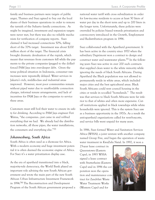family and business partners were targets of public anger, Thames and Suez agreed to buy out the local shares of their business operations in order to remove the tarnish of the Suharto family connections. As might be imagined, investment and expansion targets were never met, but there was also no reliable mechanism for verification of company reports. Suez claimed it had increased connections 50%, falling short of the 70% target. Investment was about \$200 million short of the target. The financial crisis brought dramatic devaluation of the rupiah, which meant that revenues from customers fell while the payments to the private companies (pegged to the dollar) forced PAM Jaya into ever-deeper debt. Given the tense political situation in Indonesia, consumer rate increases were repeatedly delayed. Water services in Jakarta's rich, middle-class and industrial areas improved. However, most poor communities remain without piped water due to unaffordable connection charges, informal tenure arrangements, and lack of incentives for PAM Jaya or the companies to service these areas.

Customers must still boil their water to ensure its safety for drinking. According to PAM Jaya engineer Feri Watna, "the companies…just came in and robbed everything that we had. We already had the distribution networks, all those pipes, the water installations, the consumers and everything else."53

### *Johannesburg, South Africa*

South Africa is often used as a showcase for Africa. With a modern economy and huge investment potential it is often deemed the economic engine of Africa. For Suez it's a water privatization display case.

As the era of apartheid transitioned into a black, majority-rule democracy, the World Bank played an important role advising the new South African government and wrote the main part of the new South African Urban Infrastructure Investment Framework in 1994.54 The Reconstruction and Development Program of the South African government proposed a

national water tariff with cross subsidization in order for low-income residents to access at least 50 liters of water per day in the short term and up to 200 liters in the longer term. Unfortunately, these policies were overruled by policies biased towards privatization and cost-recovery introduced in the Growth, Employment and Redistribution program in 1996.

Suez collaborated with the Apartheid government. It has been active in the country since 1970 when the subsidiary Degrémont won a contract to design and construct water and wastewater plants.55 In the following years Suez was active in over 200 such contracts that supplied clean water to the white minority while ignoring the needs of black South Africans. During Apartheid the Black population was not allowed to permanently reside in white areas, which included major cities and the best agricultural areas. Black South Africans could rent council housing in the cities or reside in so-called "homelands." The result was that services to black South Africans were far inferior to that of whites and often more expensive. Cutoff restrictions applied in black townships while white households were ignored. This is the system Suez saw as a business opportunity in the 1970s. As a result the anti-apartheid organizations called for rent-boycotts, and service bills went unpaid for many years.

In 1986, Suez formed Water and Sanitation Services Africa (WSSA), a joint venture with another company named Group Five, and began the operation of wastewater treatment in KwaZulu Natal. In 1992, it won a

25-year lease contract in Queenstown (Eastern Cape), in 1993 WSSA signed a lease contract with Stutterheim (Eastern Cape) and in 1996 the corporation won the operation and maintenance contract for Zandvliet Waste Water Treatment Works (Western Cape) and for

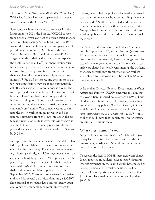Mtubatuba Water Treatment Works (KwaZulu Natal). WSSA has further launched a partnership in wastewater services with Durban Metro.<sup>56</sup>

Suez contracts have been most controversial in the larger cities. In 2001, the Suez-led JOWAM consortium signed a 5-year contract to provide water management in Johannesburg. At the beginning of 2003 a worker died in a manhole after the company failed to provide safety equipment. Members of the South African Municipal Workers Union (SAMWU) were allegedly reprimanded by the company for exposing the death to national TV.57 In Johannesburg, Suez has installed pre-paid water meters in one of the poorest townships, Orangefarm (and requires residents there to physically unblock sewer pipes every three months).<sup>58</sup> Pre-paid meters require consumers to pay for their water before they use it and automatically cut-off water users when more money is owed. The use of pre-paid meters has been linked to cholera outbreaks in KwaZulu Natal. Suez has ignored the UK high-court ruling forbidding pre-paid meters and is intent on testing these meters in Africa to increase the company's profitability. The company wants to eliminate the messy work of billing for water and has ignored complaints from the township about the system and reports of faulty meters. But Orangefarm is just the test case – the company plans to introduce pre-paid water meters in the vast township of Soweto by 2004.59

In Cape Town the Suez contract at the Zandvliet plant led to prolonged labor disputes and continues to be embroiled in controversy. The workers were demanding a housing subsidy, an 11.3% wage increase and an extended job safety agreement.<sup>60</sup> Shop stewards at the plant allege that they are targeted for their involvement with SAMWU, an official trade union, and their work to keep utilities in public hands. In September 2002, 22 workers were arrested at a strike and jailed for several days. Max Ntanyana, a SAMWU shop steward at the plant, has been repeatedly arrested. When the Mandela Park community went to

protest, Suez called the police and allegedly requested that Italian filmmakers who were recording the scene be detained.<sup>61</sup> Neither the arrested workers nor the filmmakers were charged with any wrongdoing. Max Ntanyana has been order by the court to refrain from speaking publicly and participating in organizational meetings.<sup>62</sup>

Suez's South African labor trouble doesn't seem to end. In September 2002, at the plant in Queenstown, 120 workers went on strike. The incident occurred after a senior shop steward, Ayanda Ndonga was mistreated by management and two additional shop stewards were charged internally with inciting the workers. Management withdrew transportation for workers who refused to work overtime. The plant is 3.5 miles outside the town.63

Mike Muller, Director-General, Department of Water Affairs and Forestry (DWAF) continues to claim that the World Bank inspired policies were a DWAF brain child and maintains that public-private partnerships and cost-recovery policies *"[are the] absolutely […] most sensible way of running a water system, and it's the way most water systems are run in most of the world."64* Mike Muller should know that, in fact, most water systems are run by the public sector.

### *Other cases around the world….*

As part of the contract, Suez's COGESE had to pay "entry fees" in return for the concession to the city government, worth about \$35 million, which would be paid in annual installments.

To recover the fees, COGESE increased water charges. It also reported fraudulent losses to justify fictitious interest payments on the loan it would have needed to balance its books, the court concluded. By 1993, COGESE was reporting a debt service of more than \$1 million. Its actual debt payments were less than \$400,000.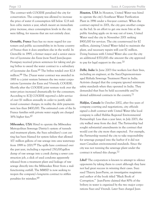The contract with COGESE penalized the city for conservation. The company was allowed to increase the price of water if consumption fell below 12.8 million cubic meters a year, which meant an immediate price increase, since consumption levels in the city were falling, for reasons that are not entirely clear.

*Grenoble, France* Suez has no more regard for customers and public accountability in its home country of France than it does anywhere else in the world. In Grenoble in 1995, a former mayor and a senior executive of Lyonnaise des Eaux (now Suez) Jean-Jacques Prompsey received prison sentences for taking and giving bribes to award the water contract to a subsidiary of Lyonnaise des Eaux.65 The bribes totaled over \$2.8 million.66 The 25-year water contract was awarded in 1985 to a joint venture between the two water corporations Lyonnaise des Eaux and Vivendi; COGESE. Shortly after the COGESE joint venture took over the water prices increased dramatically for the consumers. According to ICIJ COGESE reported a debt service of over \$1 million annually in order to justify additional consumer charges; in reality the debt payments were less than \$400,000. The estimated costs of the In France families with private water supply are charged 16% higher fees.67

*Milwaukee, USA* Hired to operate the Milwaukee Metropolitan Sewerage District's system of tunnels and treatment plants, the Suez subsidiary's cost cutting has been blamed for system failure that allowed 107 million gallons of raw sewage into area waterways from 1999 to 2001.68 The spills have continued over the past year, including a reported 250,000-gallon dump of raw sewage into a creek during a sewer construction job, a slick of used condoms apparently released from a treatment plant and leakage of raw sewage directly into the Milwaukee River from a malfunctioning outfall. The MMSD is now seeking to reopen the company's long-term contract to stiffen penalties for mistakes.69

*Houston, USA* In Houston, United Water was hired to operate the city's Southeast Water Purification Plant in 1996 under a five-year contract. When the contract expired in 2001, the city gave another company the bid. In an effort to get one more bite at the public funding apple on its way out of town, United Water sued the city in November 2001 seeking \$900,000 for services. The city counter-sued for \$2 million, claiming United Water failed to maintain the plant, and necessary repairs will cost \$2 million. Doing business with United Water also cost the city an additional \$370,000—the amount the city approved to pay for legal support in the case.70

*Delhi, India* In June 2003 five workers lost their lives, including an engineer, at the Suez-Degremont-managed Rithala Sewerage Treatment Plant in India. Activists charged that the company ignored minimum safety standards when they operated in India. They demanded that Suez be held accountable and be denied additional contracts in the country.71

*Halifax, Canada* In October 2002, after five years of company courting and negotiations, city officials signed a draft contract with United Water (the local company is called Halifax Regional Environmental Partnership). Less than a year later, in July 2003, the city walked away from the deal. The Partnership had sought substantial amendments in the contract that would cost the city more than expected. For example, the Partnership wanted the city to take responsibility for sewerage pumped into the harbor if it did not meet Canadian environmental standards. Since the city was not running the sewerage plant under the contract it refused this change.72

*Libel?* The corporation is known to attempt to silence opponents by taking them to court although they have not had great success in winning their cases. Suez sued Thierry Jean-Pierre, an investigative magistrate and author of the book titled "Black Book of Corruption." Jean-Pierre claimed that 80% of the bribery in water is organized by the two major corporations Suez and Vivendi. Later Suez charged Jean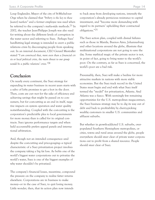Loup Englander, Mayor of the city of St-Michel-sur-Orge when he claimed that *"bribery is the key to these [water] markets"* and a former employee was sued when he referred to the company's mafia-style methods.73 In 2002, the teacher Jean-Philippe Joseph was also sued for writing about the different levels of corruption in the water sector and referring to Suez. Perhaps Suez' hardhitting legal strategy is intended to avert a public relations crisis by discouraging people from speaking out. In an internal document, CEO Gerard Mestrallet stated *"I am convinced that, more even than a financial crisis or local political crisis, the main threat to our group would be a public relations' crisis."74*

### *Conclusion*

On nearly every continent, the Suez strategy for expanding its water business in recent years starts with a salvo of lofty promises to get a foot in the door. Then, costs are cut—not for the sake of efficiency and achieving savings that might be passed on to consumers, but for cost-cutting as an end in itself, negative impacts on system operation and water quality notwithstanding. Coupled with the cost-cutting is the corporation's predictable plea to local governments for more money than is called for in original contracts. Suez ignores performance targets and when held accountable prefers appeal panels and international arbitration.

And, though not an intended consequence—and despite the cost-cutting and price-gouging—a typical characteristic of a Suez privatization project involves the company taking a big fat loss. As befits one of the world's biggest water corporations out to privatize the world's water, Suez is one of the biggest examples of why water shouldn't be privatized.

The company's financial losses, meantime, compound the pressure on the company to realize fatter returns elsewhere. Corporations are in business to make money—or in the case of Suez, to quit losing money. Little wonder, then, that its action plan now intends

to back away from developing nations, intensify the corporation's already pernicious resistance to capital investment, and "become more demanding with regard to its partners' upholding their contractual obligations."75

The Suez action plan, coupled with dismal failures such as those in Manila, Buenos Aires, Johannesburg and other locations around the globe, illustrate that multinational corporations are not going to save the day. Some mythical magic of the private sector is not, in point of fact, going to bring water to the world's poor. On the contrary, as far as Suez is concerned, the world's poor are a bad risk.

Presumably, then, Suez will make a beeline for more attractive markets in nations with more stable economies. But the Suez track record in the United States must begin and end with what Suez itself termed the "model" for privatization, Atlanta. And Atlanta was a fiasco. With seemingly few remaining opportunities for the U.S. metropolitan megacontract, the Suez business strategy may be to dig its way out of debt and back to profitability by cherry-picking wealthy customers in smaller U.S. communities and affluent suburbs.

But whether in growth-addicted U.S. suburbs, overpopulated Southern Hemisphere metropolises, or cities, towns and rural areas around the globe, people everywhere should steer clear of private water corporations out to profit from a shared resource. People should steer clear of Suez.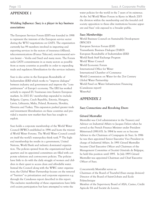### *APPENDIX 1*

### *Wielding Influence: Suez is a player in key business associations*

The European Services Forum (ESF) was founded in 1998 to represent the interests of the European service sector during the WTO negotiations on GATS. The organization currently has 99 members involved in importing and exporting services in the sectors of insurance (Allianz), telecommunications (France Telecom), environmental services (water – Veolia and Suez) and many more. The Forum seeks GATS commitments in as many sectors as possible from as many countries as possible in order to expanding trade and regulatory liberalization for the services industry.

Suez is also active in the European Roundtable of Industrialists (ERI) which works to "improve dialogue" between industry and government and improve the "competitiveness" of Europe's economy. The ERI has worked actively to expand EU businesses into Eastern European markets. In 2002 EU membership expanded to include Bulgaria, Cyprus, Czech Republic, Estonia, Hungary, Latvia, Lithuania, Malta, Poland, Romania, Slovakia, Slovenia and Turkey. This expansion pushed greater trade and investment liberalization on these countries and provided a massive new market that Suez has sought to exploit.

Suez holds a corporate membership of the World Water Council (WWC) established in 1996 and hosts the triennial World Water Forums. The World Water Council considers itself the world's water-policy think tank.76 The highend membership fee results in a government, United Nations, World Bank and industry dominated organization. The policies spewed from the organizational headquarters and its appointed committees are filled with corporate solutions and cost-recovery policies. The policies have little to do with the daily struggle of women and children in their quest to access clean and affordable water. Instead the Council along with the WWC sister organization; the Global Water Partnership focuses on the removal of "barriers" to privatization and corporate expansion e.g. through the Camdessus report described in this report. The exclusive membership of these organizations have little civil society participation but have attempted to write the

water policies for the world in the 7 years of its existence. At the 3rd World Water Forum in Kyoto in March 2003 the division within the membership and the forceful civil society opposition to these elite institutions became apparent and Suez' role exposed to a broader public.

### *Suez Memberships*

World Business Council on Sustainable Development (WSCSD) European Services Forum (ESF) Transatlantic Business Dialogue (TABD) European Roundtable of Industrialists (ERI) World Bank Staff Exchange Program World Water Council World Economic Forum International Office for Water International Chamber of Commerce World Commission on Water for the 21st Century Global Water Partnership World Panel on Water Infrastructure Financing (Camdessus report) WaterAid

### *APPENDIX 2*

### *Suez Connections and Revolving Doors*

### *Gérard Mestrallet*

Mestrallet was Civil administrator in the Treasury and Advisor on Industrial Affairs to Jacques Delors when he served as the French Finance Minister under President Mitterrand (1981-83). In 1984 he went on to become Advisor to the Chairman of Compagnie de Suez. In 1986 he was then appointed Senior Executive Vice President in charge of Industrial Affairs. In 1991 Gérard Mestrallet became Chief Executive Officer and Chairman of the Management Committee of Société Générale de Belgique, he held this position until 1995. In July 1995 Gérard Mestrallet was appointed Chairman and Chief Executive Officer of Suez.

Concurrently Mestrallet serves as

Chairman of the Board of Tractebel (Suez energy division) Director of the Board of Saint-Gobain and Ecole Polytechnique

Member of the Supervisory Board of AXA, Casino, Crédit Agricole SA and Société du Louvre,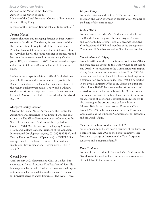### Suez. A Corporate Profile **Page 16** and the Page 16 and the Page 16 and the Page 16 and the Page 16 and the Page 16 and the Page 16 and the Page 16 and the Page 16 and the Page 16 and the Page 16 and the Page 16 and the Pa

Advisor to the Mayor of the Shanghai, Advisor to the Mayor of Seoul Member of the Chief Executive's Council of International Advisers, Hong Kong Member of the European Round Table of Industrialists<sup>77</sup>

### *Jérôme Monod*

Former chairman and managing director of Suez. Former counselor for Michel Camdessus, former director of the IMF. Monod is a life-long friend of the current French President Jacques Chirac and was chief in Chirac's cabinet in 1970 when he was the Prime Minister of France. Monod has been the secretary-general of the rightwing Gaullist party (RPR) that dissolved in 2002. Monod served as a special adviser to Chirac's 2002 presidential election campaign.

He has served as special advisor to World Bank chairman James Wolfensohn and been influential in pushing the Bank to use its loans as vehicles for forcing acceptance of the French public-private model. The World Bank now conditions private participation in most of the water sector loans – in Monod, Suez, indeed, has a friend at the World Bank.78

### *Margaret Catley-Carlson*

Chair of the Global Water Partnership, The Center for Agriculture and Bioscience in Wallingford UK, and chairwoman on The Water Resources Advisory Committee for Suez. She is the former President of the Population Council 1991-1999. She has been the Deputy Minister of Health and Welfare Canada, President of the Canadian International Development Agency (CIDA) 1983-1989, and Deputy Executive Director (Operations) of UNICEF. She was appointed to the board Trustees of International Institute for Environment and Development (IIED) in 2003.79

### *Gerard Payen*

Until January 2001 chairman and CEO of Ondeo, but appointed to Senior-Executive Vice-President of Suez. He is in charge of relations with institutional water-related organizations and all actions related to the company's campaign for universal access to water, known as "The Water Truce."

### *Jacques Petry*

Formerly chairman and CEO of SITA, was appointed chairman and CEO of Ondeo in January 2001. Member of the board of directors of SITA

### *Jérôme Tolot*

Former Senior Executive Vice President and Member of the Board of Vinci, replaced Jacques Petry as Chairman and CEO of SITA. Jérôme Tolot also becomes Executive Vice President of SUEZ and member of the Management Committee. Jérôme has worked for Suez for two decades.

### *Yves-Thibault de Silguy*

From 1976-81 he worked in the Ministry of Foreign Affairs and then became advisor to the Deputy Chef de cabinet, to Mr. Ortoli, Vice President of the Commission with responsibility for economic and monetary affairs. From 1985-86 he was stationed at the French Embassy in Washington as a counselor on economic affairs. From 1986-88 he worked in the Prime Ministers Office as an advisor on European affairs. From 1988-93 he choice to the private sector and worked for number industrial boards. In 1993 he became the secretary-general of the Interdepartmental Committee for Questions of Economic Cooperation in Europe while also working in the private office of Prime Minister Edouard Balladur as a counselor on European affairs. From 1995-1999 he became a member of the European Commission as the European Commissioner for Economic and Financial Affairs.

Member of the board of directors of SITA Since January 2000 he has been a member of the Executive Board of Suez, since 2001 as the Senior Executive Vice President in charge of International Affairs, Corporate Relations and European affairs.<sup>80</sup>

### *Rene Coulomb*

Former director of ethics in Suez and Vice President of the World Water Council and sits on the steering committee of the Global Water Partnership.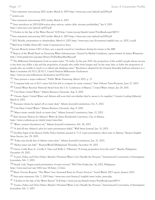Suez statement announcing 2002 results, March 6, 2003 http://www.suez.com/upload/up1008.pdf

reuters.com

Suez statement announcing 2002 results, March 6, 2003

"Suez introduces its 2003-2004 action plan; refocus, reduce debt, increase profitability," Jan 9, 2003

http://www.suez.com/upload/up970.pdf

"Cholera in the Age of the Water Barons" ICIJ http://www.icij.org/dtaweb/water/PrintReady.aspx?AID=1

Suez statement announcing 2002 results, March 6, 2003 http://www.suez.com/upload/up1008.pdf

2002 Results, presentation to shareholders, March 6, 2003 http://www.suez.com/documents/english/suez\_ra\_2002\_va.pdf

Mail from Ulrikke Hauer (EU trade Commission) to Suez.

Jerome Monod, former CEO of Suez, was a special council to Camdessus during his tenure at the IMF.

 Report of the World Panel on Financing Water Infrastructure. Chaired by Michel Camdessus, report written by James Winpenny http://www.gwpforum.org/gwp/library/FinPanRep.MainRep.pdf

<sup>11</sup> The Millenium Development Goal on water states: "To halve, by the year 2015, the proportion of the world's people whose income is less than one dollar a day and the proportion of people who suffer from hunger and, by the same date, to halve the proportion of people who are unable to reach or to afford safe drinking water." Resolution adopted by the General Assembly [without reference to a Main Committee (A/55/L.2)] 55/2. United Nations Millennium Declaration

http://www.un.org/millennium/declaration/ares552e.htm

"Suez pursues a major makeover," Public Works Financing, March 2003, p. 23

"Company bails out of N.O. sewer bid; Few left to compete for water contract," New Orleans Times-Picayune, June 27, 2003.

"United Water Receives National Award from the U.S. Conference of Mayors," United Water release, Jan 29, 2001.

"City blasts United Water," Atlanta Business Chronicle, Aug. 9, 2002.

 "Oceans Apart: United Water and Atlanta will soon find out whether they're meant to be together," Creative Loafing (Atlanta), March 6, 2002.

"Ex-mayor denies he signed off on water deal," Atlanta Journal-Constitution, Oct. 5, 2002.

"City blasts United Water," Atlanta Business Chronicle, Aug. 9, 2002.

"Mayor wants outside check on water firm," Atlanta Journal Constitution, Sept. 12, 2002.

 Rate Increase History for Atlanta's Water & Sewer Residential Customers, City of Atlanta, http://www.ci.atlanta.ga.us/citydir/water/rates.htm.

"Water contract dissolution set," Atlanta Journal-Constitution, Feb. 28, 2003.

"A deal all wet: Atlanta's plan for water privatization failed," Wall Street Journal, Jan. 31, 2003.

<sup>23</sup> Geoffrey Segal of the Reason Public Policy Institute quoted in "U.S. water privatization effort trips in Atlanta," Reuters English News Service, Jan. 29, 2003.

"Today may decide fate of Atlanta water plan," Atlanta Journal-Constitution, Jan. 21, 2003.

"Shelve water rate hike" BusinessWorld (Philippines) Thursday, December 19, 2002

 Garcia, Cathy Rose A., Cecille S. Visto and Ruffy L. Villanueva "A losing proposition from the start?" Manila, Philippines December 19, 2002.

27 "Loaves, Fishes and Dirty Dishes: Manila's Privatized Water Can't Handle the Pressure." International Consortium of Investigative Journalists, Feb. 7, 2003.

 Nacpil, Lidy "Sugar-coated privatization of water services" ING7-Net Friday Jun. 14, 2002, Philippines http://www.inq7.net/opi/2002/jun/14/letter\_2-1.htm

Maria Victoria Raquiza, "The Water Case: Increased Rates for Poorer Services," Social Watch 2003 report, January 2003.

Suez press statement, Feb. 7, 2003 http://www.suez.com/finance2/english/news/index\_news.php

"Cholera in the Age of the Water Barons" ICIJ http://www.icij.org/dtaweb/water/PrintReady.aspx?AID=1

 "Loaves, Fishes and Dirty Dishes: Manila's Privatized Water Can't Handle the Pressure," International Consortium of Investigative Journalists, Feb. 7, 2003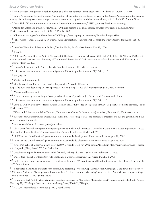### Suez. A Corporate Profile **Page 18** Page 18

Sison, Marites "Philippines: Awash in Water Bills after Privatization" Inter Press Service Wednesday, January 22, 2003.

 Daniel Azpiazu and Karina Forcinito, "Privatization of the water and sanitation systems in the Buenos Aires metropolitan area: regulatory discontinuity, corporate non-performance, extraordinary profited and distributional inequality," FLASCO, Buenos Aires.

David Hall, "Water multinationals in retreat: Suez withdraws investment," PSIRU, January 2003, www.psiru.org

 Alexander Loftus and David A. McDonald, "Of liquid breams: a political ecology of water privatization in Buenos Aires," Environment & Urbanization, Vol. 13, No. 2, October 2001.

"Cholera in the Age of the Water Barons" ICIJ http://www.icij.org/dtaweb/water/PrintReady.aspx?AID=1

 "The 'Aguas' Tango: Cashing In on Buenos Aires Privatization." International Consortium of Investigative Journalists, Feb. 6, 2003.

"Another Water Revolt Begins in Bolivia," by, Jim Shultz, Pacific News Service, Dec 17, 2004.

Ibid., p.1

 "Bolivian President Resigns Amidst Blockades Of The New Left And A Belligerent Old Right," by Jeffery R. Webber, PhD candidate in political science at the University of Toronto and Susan Spronk PhD candidate in political science at York University in Toronto, March 07, 2005.

"Después del triunfo de El Alto en Bolivia," publication from FEJUVE, p. 1, undated.

"14 razones para romper el contrato con Aguas del Illimani," publication from FEJUVE, p. 12.

Ibid., pp. 5-6.

Webber and Spronk, p. 2.

View International Finance Corporation Project with Aguas del Illimani at:

http://ifcln001.worldbank.org/IFCExt/spiwebsite1.nsf/0/82ab423c15054faf8525688e0071297a?OpenDocument

Webber and Spronk, p. 3.

Polaris Institute, quoted at: http://www.polarisinstitute.org/polaris\_project/water\_lords/News/march\_7.html

"14 razones para romper el contrato con Aguas del Illimani," publication from FEJUVE, p. 7.

 Law No. 1/1967, Ministry of Home Affairs Decision No. 3/1990 cited in Argo and Firman "To privatize or not to privatize," Built Environment 27(2).

"Water and Politics in the Fall of Suharto," International Center for Investigative Journalism, February 10, 2003, www.icij.org.

 International Consortium for Investigative Journalism. According to ICIJ, the companies threatened to sue the government if the contract was not honored.

International Center for Investigative Journalism

 The Center for Public Integrity Investigative Journalist in the Public Interest "Metered to Death: How a Water Experiment Caused Riots and a Cholera Epidemic" http://www.icij.org/water/default.aspx?sid=ch&aid=49

"SUEZ at the United Nations' global summit on sustainable development" Press release Paris, August 29, 2002.

"SUEZ at the United Nations' global summit on sustainable development" Press release Paris, August 29, 2002.

 "SAMWU lashes at Water Company Boss" SAMWU weekly 19-26 July 2002 South Africa from http://qsilver.queensu.ca/~mspadmin/pages/In\_The\_News/2002/July/lashes.htm.

Unpublished report by Patrick Bond titled "An early Jo'burg advisory … Suez" e-mail February 20, 2003.

Wales, Zack "Secret Contacts Row Puts Spotlight on Water Management" All Africa, March 22, 2003

 "Jailed privatised water workers freed, to continue strike today" Western Cape Anti-Eviction Campaign, Cape Town, September 10, 2002 South Africa.

 "Suez water plant strike: Mandela Park community protesting" Western Cape Anti-Eviction Campaign, Cape Town September 10, 2002 South Africa and "Jailed privatised water workers freed, to continue strike today" Western Cape Anti-Eviction Campaign, Cape Town, September 10, 2002 South Africa.

 "5 Mandela Park Anti-Eviction Campaign members to appear in Khayelitsha Magistrates court" Independent Media South Africa, February 27, 2003 http://southafrica.indymedia.org/news/2003/02/3198.php

SAMWU Press release, September 4, 2002, South Africa.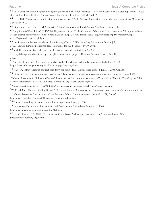64 The Center for Public Integrity Investigative Journalist in the Public Interest "Metered to Death: How a Water Experiment Caused Riots and a Cholera Epidemic" http://www.icij.org/water/default.aspx?sid=ch&aid=49.

65 David Hall, "Privatization, multinationals and corruption," Public Services International Research Unit, University of Greenwich, November 1999.

66 "Water and Power: The French Connection" http://www.icij.org/dtaweb/water/PrintReady.aspx?AID=4.

67 "Inquiry into Water Prices", 1995-2000, Department of Fair Trade, Consumer Affairs and Fraud, November 2001 quote in Suez vs French teacher about water corruption, transnationale http://forums.transnationale.org/viewtopic.php?t=807&start=0&postdays=0&postorder=asc&highlight=.

68 "An Evaluation: Milwaukee Metropolitan Sewerage District," Wisconsin Legislative Audit Bureau, July 2002; "Sewage dumping policies faulted," Milwaukee Journal Sentinel, July 30, 2002.

69 MMSD head plans faster alert system," Milwaukee Journal Sentinel, July 29, 2003.

70 "Legal deluge inundates first city water plant privatization project," Houston Business Journal, Aug. 19, 2002.

71 "Activists blame Suez-Degremont for worker deaths" Infochange livelihoods - infochange India June 26, 2003 http://www.infochangeindia.org/LivelihoodsItop.jsp?section\_idv=8.

72 Simpson, Jeffrey "Cleanup contract goes down the drain" The Halifax Herald Limited, June 21, 2003, Canada.

73 "Suez vs French teacher about water corruption" Transnationale http://forums.transnationale.org/viewtopic.php?p=1300.

74 Gerard Mestrallet, in "Ethics and Values", Lyonnaise des Eaux internal document, p35 quoted in "Water in Court" by the Public Services International Research Unit http://www.psiru.org/others/proces-angl2.rtf.

75 Suez press statement, Feb. 7, 2003. (http://www.suez.com/finance2/english/news/index\_news.php

76 "World Water Forum - Diluting Dissent?" Corporate Europe Observatory http://www.corporateeurope.org/water/infobrief2.htm.

77 "Gérard Mestrallet Chairman and Chief Executive Officer Président-directeur Général, SUEZ, France" http://www1.oecd.org/forum2003/speakers/CV/Mestrallet.htm.

78 Transnationale http://forums.transnationale.org/viewtopic.php?p=1300.

79 International Institute for Environment and Development Press release February 12, 2003 http://www.iied.org/aboutiied/press.html#120203.

80 "Yves-Thibault DE SILGUY" The European Commission Archive http://europa.eu.int/comm/archives/1995- 99/commissioners/en/silguy.htm.